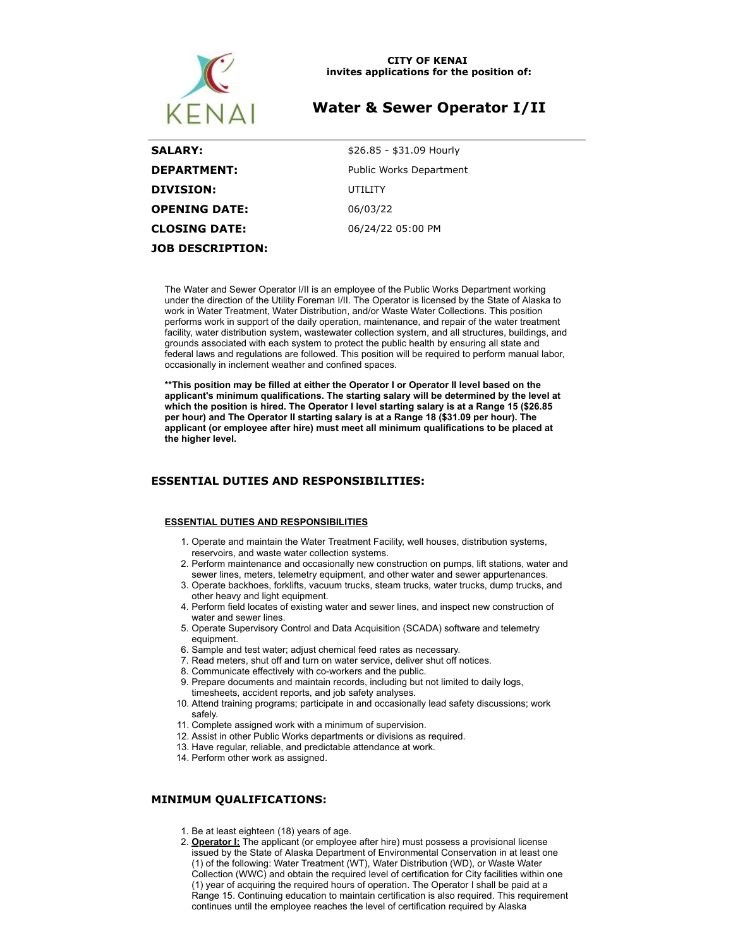

#### **CITY OF KENAI invites applications for the position of:**

# **Water & Sewer Operator I/II**

**SALARY:**  $$26.85 - $31.09$  Hourly **DEPARTMENT:** Public Works Department **DIVISION:** UTILITY **OPENING DATE:** 06/03/22 **CLOSING DATE:** 06/24/22 05:00 PM **JOB DESCRIPTION:**

The Water and Sewer Operator I/II is an employee of the Public Works Department working under the direction of the Utility Foreman I/II. The Operator is licensed by the State of Alaska to work in Water Treatment, Water Distribution, and/or Waste Water Collections. This position performs work in support of the daily operation, maintenance, and repair of the water treatment facility, water distribution system, wastewater collection system, and all structures, buildings, and grounds associated with each system to protect the public health by ensuring all state and federal laws and regulations are followed. This position will be required to perform manual labor, occasionally in inclement weather and confined spaces.

**\*\*This position may be filled at either the Operator I or Operator II level based on the applicant's minimum qualifications. The starting salary will be determined by the level at which the position is hired. The Operator I level starting salary is at a Range 15 (\$26.85 per hour) and The Operator II starting salary is at a Range 18 (\$31.09 per hour). The applicant (or employee after hire) must meet all minimum qualifications to be placed at the higher level.**

# **ESSENTIAL DUTIES AND RESPONSIBILITIES:**

#### **ESSENTIAL DUTIES AND RESPONSIBILITIES**

- 1. Operate and maintain the Water Treatment Facility, well houses, distribution systems, reservoirs, and waste water collection systems.
- 2. Perform maintenance and occasionally new construction on pumps, lift stations, water and sewer lines, meters, telemetry equipment, and other water and sewer appurtenances.
- 3. Operate backhoes, forklifts, vacuum trucks, steam trucks, water trucks, dump trucks, and other heavy and light equipment.
- 4. Perform field locates of existing water and sewer lines, and inspect new construction of water and sewer lines.
- 5. Operate Supervisory Control and Data Acquisition (SCADA) software and telemetry equipment.
- 6. Sample and test water; adjust chemical feed rates as necessary.
- 7. Read meters, shut off and turn on water service, deliver shut off notices.
- 8. Communicate effectively with co-workers and the public.
- 9. Prepare documents and maintain records, including but not limited to daily logs, timesheets, accident reports, and job safety analyses.
- 10. Attend training programs; participate in and occasionally lead safety discussions; work safely.
- 11. Complete assigned work with a minimum of supervision.
- 12. Assist in other Public Works departments or divisions as required.
- 13. Have regular, reliable, and predictable attendance at work.
- 14. Perform other work as assigned.

## **MINIMUM QUALIFICATIONS:**

- 1. Be at least eighteen (18) years of age.
- 2. **Operator I:** The applicant (or employee after hire) must possess a provisional license issued by the State of Alaska Department of Environmental Conservation in at least one (1) of the following: Water Treatment (WT), Water Distribution (WD), or Waste Water Collection (WWC) and obtain the required level of certification for City facilities within one (1) year of acquiring the required hours of operation. The Operator I shall be paid at a Range 15. Continuing education to maintain certification is also required. This requirement continues until the employee reaches the level of certification required by Alaska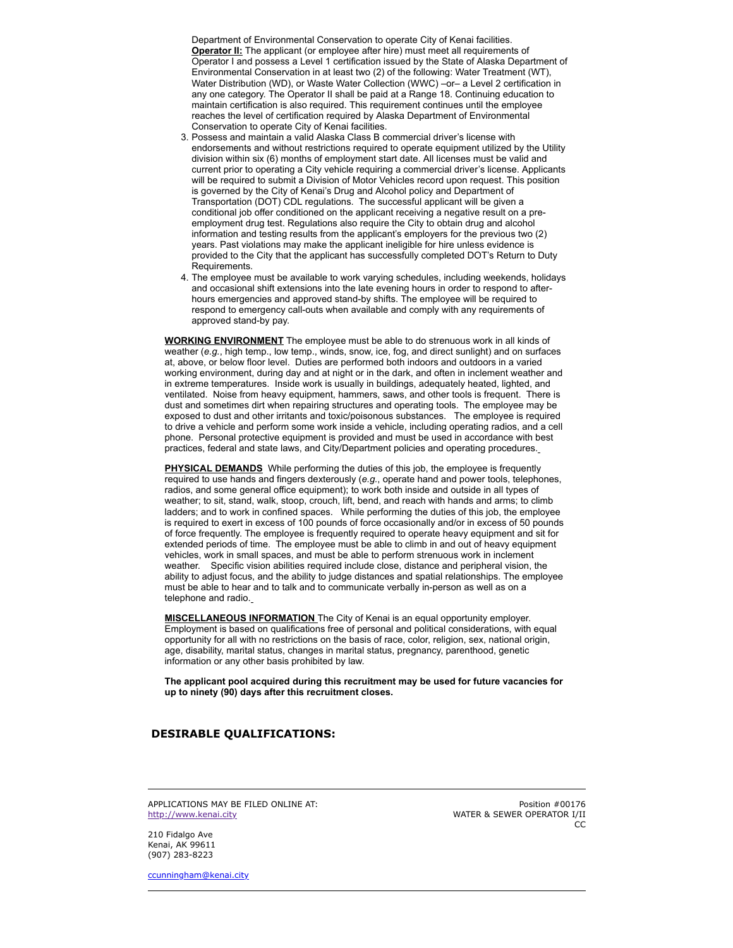Department of Environmental Conservation to operate City of Kenai facilities. **Operator II:** The applicant (or employee after hire) must meet all requirements of Operator I and possess a Level 1 certification issued by the State of Alaska Department of Environmental Conservation in at least two (2) of the following: Water Treatment (WT), Water Distribution (WD), or Waste Water Collection (WWC) – or– a Level 2 certification in any one category. The Operator II shall be paid at a Range 18. Continuing education to maintain certification is also required. This requirement continues until the employee reaches the level of certification required by Alaska Department of Environmental Conservation to operate City of Kenai facilities.

- 3. Possess and maintain a valid Alaska Class B commercial driver's license with endorsements and without restrictions required to operate equipment utilized by the Utility division within six (6) months of employment start date. All licenses must be valid and current prior to operating a City vehicle requiring a commercial driver's license. Applicants will be required to submit a Division of Motor Vehicles record upon request. This position is governed by the City of Kenai's Drug and Alcohol policy and Department of Transportation (DOT) CDL regulations. The successful applicant will be given a conditional job offer conditioned on the applicant receiving a negative result on a preemployment drug test. Regulations also require the City to obtain drug and alcohol information and testing results from the applicant's employers for the previous two (2) years. Past violations may make the applicant ineligible for hire unless evidence is provided to the City that the applicant has successfully completed DOT's Return to Duty Requirements.
- 4. The employee must be available to work varying schedules, including weekends, holidays and occasional shift extensions into the late evening hours in order to respond to afterhours emergencies and approved stand-by shifts. The employee will be required to respond to emergency call-outs when available and comply with any requirements of approved stand-by pay.

**WORKING ENVIRONMENT** The employee must be able to do strenuous work in all kinds of weather (*e.g.*, high temp., low temp., winds, snow, ice, fog, and direct sunlight) and on surfaces at, above, or below floor level. Duties are performed both indoors and outdoors in a varied working environment, during day and at night or in the dark, and often in inclement weather and in extreme temperatures. Inside work is usually in buildings, adequately heated, lighted, and ventilated. Noise from heavy equipment, hammers, saws, and other tools is frequent. There is dust and sometimes dirt when repairing structures and operating tools. The employee may be exposed to dust and other irritants and toxic/poisonous substances. The employee is required to drive a vehicle and perform some work inside a vehicle, including operating radios, and a cell phone. Personal protective equipment is provided and must be used in accordance with best practices, federal and state laws, and City/Department policies and operating procedures.

**PHYSICAL DEMANDS** While performing the duties of this job, the employee is frequently required to use hands and fingers dexterously (*e.g.*, operate hand and power tools, telephones, radios, and some general office equipment); to work both inside and outside in all types of weather; to sit, stand, walk, stoop, crouch, lift, bend, and reach with hands and arms; to climb ladders; and to work in confined spaces. While performing the duties of this job, the employee is required to exert in excess of 100 pounds of force occasionally and/or in excess of 50 pounds of force frequently. The employee is frequently required to operate heavy equipment and sit for extended periods of time. The employee must be able to climb in and out of heavy equipment vehicles, work in small spaces, and must be able to perform strenuous work in inclement weather. Specific vision abilities required include close, distance and peripheral vision, the ability to adjust focus, and the ability to judge distances and spatial relationships. The employee must be able to hear and to talk and to communicate verbally in-person as well as on a telephone and radio.

**MISCELLANEOUS INFORMATION** The City of Kenai is an equal opportunity employer. Employment is based on qualifications free of personal and political considerations, with equal opportunity for all with no restrictions on the basis of race, color, religion, sex, national origin, age, disability, marital status, changes in marital status, pregnancy, parenthood, genetic information or any other basis prohibited by law.

**The applicant pool acquired during this recruitment may be used for future vacancies for up to ninety (90) days after this recruitment closes.**

## **DESIRABLE QUALIFICATIONS:**

APPLICATIONS MAY BE FILED ONLINE AT [http://www.kenai.city](http://www.kenai.city/)

Position #00176 WATER & SEWER OPERATOR I/II CC

210 Fidalgo Ave Kenai, AK 99611 (907) 283-8223

[ccunningham@kenai.city](mailto:ccunningham@kenai.city)